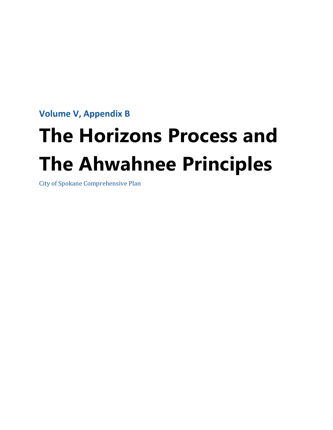**Volume V, Appendix B** 

# **The Horizons Process and The Ahwahnee Principles**

City of Spokane Comprehensive Plan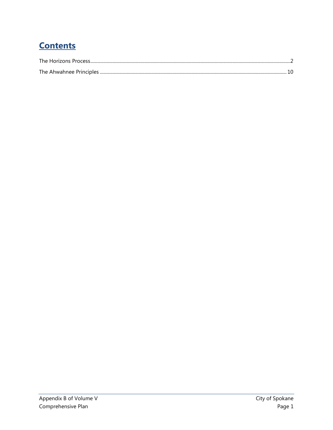# **Contents**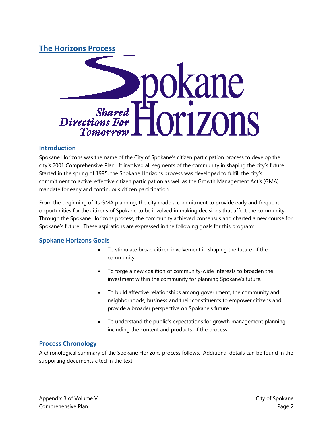## <span id="page-2-0"></span>**The Horizons Process**



## **Introduction**

Spokane Horizons was the name of the City of Spokane's citizen participation process to develop the city's 2001 Comprehensive Plan. It involved all segments of the community in shaping the city's future. Started in the spring of 1995, the Spokane Horizons process was developed to fulfill the city's commitment to active, effective citizen participation as well as the Growth Management Act's (GMA) mandate for early and continuous citizen participation.

From the beginning of its GMA planning, the city made a commitment to provide early and frequent opportunities for the citizens of Spokane to be involved in making decisions that affect the community. Through the Spokane Horizons process, the community achieved consensus and charted a new course for Spokane's future. These aspirations are expressed in the following goals for this program:

## **Spokane Horizons Goals**

- To stimulate broad citizen involvement in shaping the future of the community.
- To forge a new coalition of community-wide interests to broaden the investment within the community for planning Spokane's future.
- To build affective relationships among government, the community and neighborhoods, business and their constituents to empower citizens and provide a broader perspective on Spokane's future.
- To understand the public's expectations for growth management planning, including the content and products of the process.

## **Process Chronology**

A chronological summary of the Spokane Horizons process follows. Additional details can be found in the supporting documents cited in the text.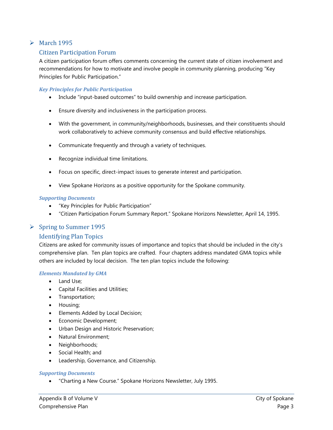## $\triangleright$  March 1995

## Citizen Participation Forum

A citizen participation forum offers comments concerning the current state of citizen involvement and recommendations for how to motivate and involve people in community planning, producing "Key Principles for Public Participation."

#### *Key Principles for Public Participation*

- Include "input-based outcomes" to build ownership and increase participation.
- Ensure diversity and inclusiveness in the participation process.
- With the government, in community/neighborhoods, businesses, and their constituents should work collaboratively to achieve community consensus and build effective relationships.
- Communicate frequently and through a variety of techniques.
- Recognize individual time limitations.
- Focus on specific, direct-impact issues to generate interest and participation.
- View Spokane Horizons as a positive opportunity for the Spokane community.

#### *Supporting Documents*

- "Key Principles for Public Participation"
- "Citizen Participation Forum Summary Report." Spokane Horizons Newsletter, April 14, 1995.

#### $\triangleright$  Spring to Summer 1995

#### Identifying Plan Topics

Citizens are asked for community issues of importance and topics that should be included in the city's comprehensive plan. Ten plan topics are crafted. Four chapters address mandated GMA topics while others are included by local decision. The ten plan topics include the following:

#### *Elements Mandated by GMA*

- Land Use;
- Capital Facilities and Utilities;
- Transportation;
- Housing;
- Elements Added by Local Decision;
- Economic Development;
- Urban Design and Historic Preservation;
- Natural Environment;
- Neighborhoods;
- Social Health; and
- Leadership, Governance, and Citizenship.

#### *Supporting Documents*

• "Charting a New Course." Spokane Horizons Newsletter, July 1995.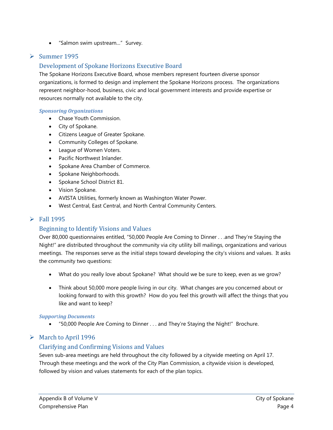• "Salmon swim upstream…" Survey.

## $\triangleright$  Summer 1995

## Development of Spokane Horizons Executive Board

The Spokane Horizons Executive Board, whose members represent fourteen diverse sponsor organizations, is formed to design and implement the Spokane Horizons process. The organizations represent neighbor-hood, business, civic and local government interests and provide expertise or resources normally not available to the city.

#### *Sponsoring Organizations*

- Chase Youth Commission.
- City of Spokane.
- Citizens League of Greater Spokane.
- Community Colleges of Spokane.
- League of Women Voters.
- Pacific Northwest Inlander.
- Spokane Area Chamber of Commerce.
- Spokane Neighborhoods.
- Spokane School District 81.
- Vision Spokane.
- AVISTA Utilities, formerly known as Washington Water Power.
- West Central, East Central, and North Central Community Centers.

## $\triangleright$  Fall 1995

## Beginning to Identify Visions and Values

Over 80,000 questionnaires entitled, "50,000 People Are Coming to Dinner . . .and They're Staying the Night!" are distributed throughout the community via city utility bill mailings, organizations and various meetings. The responses serve as the initial steps toward developing the city's visions and values. It asks the community two questions:

- What do you really love about Spokane? What should we be sure to keep, even as we grow?
- Think about 50,000 more people living in our city. What changes are you concerned about or looking forward to with this growth? How do you feel this growth will affect the things that you like and want to keep?

#### *Suppor*t*ing Documents*

• "50,000 People Are Coming to Dinner . . . and They're Staying the Night!" Brochure.

## March to April 1996

## Clarifying and Confirming Visions and Values

Seven sub-area meetings are held throughout the city followed by a citywide meeting on April 17. Through these meetings and the work of the City Plan Commission, a citywide vision is developed, followed by vision and values statements for each of the plan topics.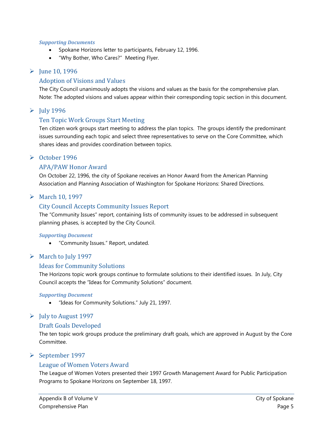#### *Supporting Documents*

- Spokane Horizons letter to participants, February 12, 1996.
- "Why Bother, Who Cares?" Meeting Flyer.

## $\blacktriangleright$  June 10, 1996

#### Adoption of Visions and Values

The City Council unanimously adopts the visions and values as the basis for the comprehensive plan. Note: The adopted visions and values appear within their corresponding topic section in this document.

## $\blacktriangleright$  July 1996

## Ten Topic Work Groups Start Meeting

Ten citizen work groups start meeting to address the plan topics. The groups identify the predominant issues surrounding each topic and select three representatives to serve on the Core Committee, which shares ideas and provides coordination between topics.

#### October 1996

## APA/PAW Honor Award

On October 22, 1996, the city of Spokane receives an Honor Award from the American Planning Association and Planning Association of Washington for Spokane Horizons: Shared Directions.

## March 10, 1997

#### City Council Accepts Community Issues Report

The "Community Issues" report, containing lists of community issues to be addressed in subsequent planning phases, is accepted by the City Council.

#### *Supporting Document*

• "Community Issues." Report, undated.

#### $\triangleright$  March to July 1997

#### Ideas for Community Solutions

The Horizons topic work groups continue to formulate solutions to their identified issues. In July, City Council accepts the "Ideas for Community Solutions" document.

#### *Supporting Document*

• "Ideas for Community Solutions." July 21, 1997.

#### $\blacktriangleright$  July to August 1997

#### Draft Goals Developed

The ten topic work groups produce the preliminary draft goals, which are approved in August by the Core Committee.

#### September 1997

## League of Women Voters Award

The League of Women Voters presented their 1997 Growth Management Award for Public Participation Programs to Spokane Horizons on September 18, 1997.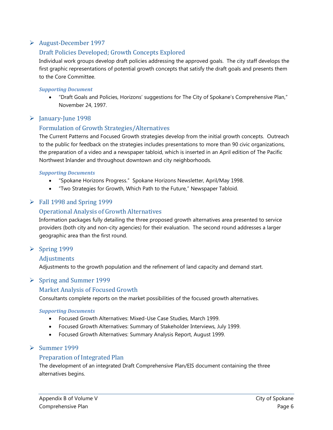## August-December 1997

## Draft Policies Developed; Growth Concepts Explored

Individual work groups develop draft policies addressing the approved goals. The city staff develops the first graphic representations of potential growth concepts that satisfy the draft goals and presents them to the Core Committee.

#### *Supporting Document*

• "Draft Goals and Policies, Horizons' suggestions for The City of Spokane's Comprehensive Plan," November 24, 1997.

## $\blacktriangleright$  January-June 1998

## Formulation of Growth Strategies/Alternatives

The Current Patterns and Focused Growth strategies develop from the initial growth concepts. Outreach to the public for feedback on the strategies includes presentations to more than 90 civic organizations, the preparation of a video and a newspaper tabloid, which is inserted in an April edition of The Pacific Northwest Inlander and throughout downtown and city neighborhoods.

#### *Supporting Documents*

- "Spokane Horizons Progress." Spokane Horizons Newsletter, April/May 1998.
- "Two Strategies for Growth, Which Path to the Future," Newspaper Tabloid.

## $\triangleright$  Fall 1998 and Spring 1999

## Operational Analysis of Growth Alternatives

Information packages fully detailing the three proposed growth alternatives area presented to service providers (both city and non-city agencies) for their evaluation. The second round addresses a larger geographic area than the first round.

## $\triangleright$  Spring 1999

#### Adjustments

Adjustments to the growth population and the refinement of land capacity and demand start.

## $\triangleright$  Spring and Summer 1999

## Market Analysis of Focused Growth

Consultants complete reports on the market possibilities of the focused growth alternatives.

#### *Supporting Documents*

- Focused Growth Alternatives: Mixed-Use Case Studies, March 1999.
- Focused Growth Alternatives: Summary of Stakeholder Interviews, July 1999.
- Focused Growth Alternatives: Summary Analysis Report, August 1999.

## $\triangleright$  Summer 1999

#### Preparation of Integrated Plan

The development of an integrated Draft Comprehensive Plan/EIS document containing the three alternatives begins.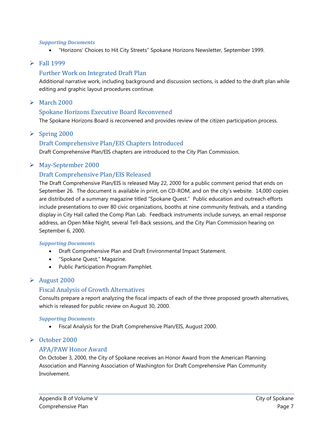#### *Supporting Documents*

• "Horizons' Choices to Hit City Streets" Spokane Horizons Newsletter, September 1999.

#### $\blacktriangleright$  Fall 1999

### Further Work on Integrated Draft Plan

Additional narrative work, including background and discussion sections, is added to the draft plan while editing and graphic layout procedures continue.

#### $\blacktriangleright$  March 2000

#### Spokane Horizons Executive Board Reconvened

The Spokane Horizons Board is reconvened and provides review of the citizen participation process.

#### $\triangleright$  Spring 2000

#### Draft Comprehensive Plan/EIS Chapters Introduced

Draft Comprehensive Plan/EIS chapters are introduced to the City Plan Commission.

#### May-September 2000

## Draft Comprehensive Plan/EIS Released

The Draft Comprehensive Plan/EIS is released May 22, 2000 for a public comment period that ends on September 26. The document is available in print, on CD-ROM, and on the city's website. 14,000 copies are distributed of a summary magazine titled "Spokane Quest." Public education and outreach efforts include presentations to over 80 civic organizations, booths at nine community festivals, and a standing display in City Hall called the Comp Plan Lab. Feedback instruments include surveys, an email response address, an Open Mike Night, several Tell-Back sessions, and the City Plan Commission hearing on September 6, 2000.

#### *Supporting Documents*

- Draft Comprehensive Plan and Draft Environmental Impact Statement.
- "Spokane Quest," Magazine.
- Public Participation Program Pamphlet.

#### $\blacktriangleright$  August 2000

#### Fiscal Analysis of Growth Alternatives

Consults prepare a report analyzing the fiscal impacts of each of the three proposed growth alternatives, which is released for public review on August 30, 2000.

#### *Supporting Documents*

• Fiscal Analysis for the Draft Comprehensive Plan/EIS, August 2000.

#### October 2000

#### APA/PAW Honor Award

On October 3, 2000, the City of Spokane receives an Honor Award from the American Planning Association and Planning Association of Washington for Draft Comprehensive Plan Community Involvement.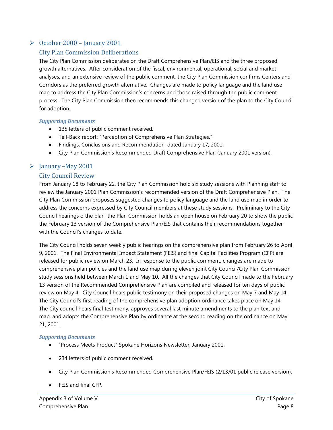## $\triangleright$  October 2000 – January 2001

## City Plan Commission Deliberations

The City Plan Commission deliberates on the Draft Comprehensive Plan/EIS and the three proposed growth alternatives. After consideration of the fiscal, environmental, operational, social and market analyses, and an extensive review of the public comment, the City Plan Commission confirms Centers and Corridors as the preferred growth alternative. Changes are made to policy language and the land use map to address the City Plan Commission's concerns and those raised through the public comment process. The City Plan Commission then recommends this changed version of the plan to the City Council for adoption.

#### *Supporting Documents*

- 135 letters of public comment received.
- Tell-Back report: "Perception of Comprehensive Plan Strategies."
- Findings, Conclusions and Recommendation, dated January 17, 2001.
- City Plan Commission's Recommended Draft Comprehensive Plan (January 2001 version).

## $\triangleright$  January –May 2001

#### City Council Review

From January 18 to February 22, the City Plan Commission hold six study sessions with Planning staff to review the January 2001 Plan Commission's recommended version of the Draft Comprehensive Plan. The City Plan Commission proposes suggested changes to policy language and the land use map in order to address the concerns expressed by City Council members at these study sessions. Preliminary to the City Council hearings o the plan, the Plan Commission holds an open house on February 20 to show the public the February 13 version of the Comprehensive Plan/EIS that contains their recommendations together with the Council's changes to date.

The City Council holds seven weekly public hearings on the comprehensive plan from February 26 to April 9, 2001. The Final Environmental Impact Statement (FEIS) and final Capital Facilities Program (CFP) are released for public review on March 23. In response to the public comment, changes are made to comprehensive plan policies and the land use map during eleven joint City Council/City Plan Commission study sessions held between March 1 and May 10. All the changes that City Council made to the February 13 version of the Recommended Comprehensive Plan are compiled and released for ten days of public review on May 4. City Council hears public testimony on their proposed changes on May 7 and May 14. The City Council's first reading of the comprehensive plan adoption ordinance takes place on May 14. The City council hears final testimony, approves several last minute amendments to the plan text and map, and adopts the Comprehensive Plan by ordinance at the second reading on the ordinance on May 21, 2001.

#### *Supporting Documents*

- "Process Meets Product" Spokane Horizons Newsletter, January 2001.
- 234 letters of public comment received.
- City Plan Commission's Recommended Comprehensive Plan/FEIS (2/13/01 public release version).
- FEIS and final CFP.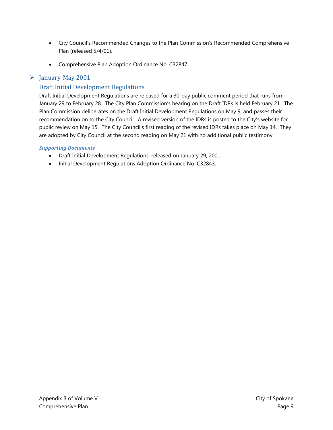- City Council's Recommended Changes to the Plan Commission's Recommended Comprehensive Plan (released 5/4/01).
- Comprehensive Plan Adoption Ordinance No. C32847.

## $\blacktriangleright$  January-May 2001

## Draft Initial Development Regulations

Draft Initial Development Regulations are released for a 30-day public comment period that runs from January 29 to February 28. The City Plan Commission's hearing on the Draft IDRs is held February 21. The Plan Commission deliberates on the Draft Initial Development Regulations on May 9, and passes their recommendation on to the City Council. A revised version of the IDRs is posted to the City's website for public review on May 15. The City Council's first reading of the revised IDRs takes place on May 14. They are adopted by City Council at the second reading on May 21 with no additional public testimony.

## *Supporting Documents*

- Draft Initial Development Regulations, released on January 29, 2001.
- Initial Development Regulations Adoption Ordinance No. C32843.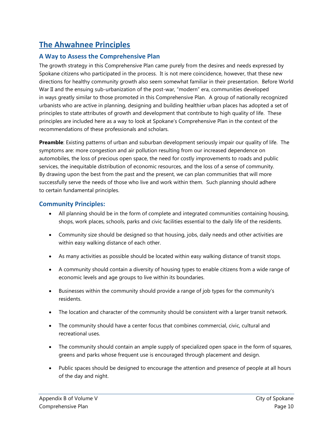# <span id="page-10-0"></span>**The Ahwahnee Principles**

## **A Way to Assess the Comprehensive Plan**

The growth strategy in this Comprehensive Plan came purely from the desires and needs expressed by Spokane citizens who participated in the process. It is not mere coincidence, however, that these new directions for healthy community growth also seem somewhat familiar in their presentation. Before World War II and the ensuing sub-urbanization of the post-war, "modern" era, communities developed in ways greatly similar to those promoted in this Comprehensive Plan. A group of nationally recognized urbanists who are active in planning, designing and building healthier urban places has adopted a set of principles to state attributes of growth and development that contribute to high quality of life. These principles are included here as a way to look at Spokane's Comprehensive Plan in the context of the recommendations of these professionals and scholars.

**Preamble**: Existing patterns of urban and suburban development seriously impair our quality of life. The symptoms are: more congestion and air pollution resulting from our increased dependence on automobiles, the loss of precious open space, the need for costly improvements to roads and public services, the inequitable distribution of economic resources, and the loss of a sense of community. By drawing upon the best from the past and the present, we can plan communities that will more successfully serve the needs of those who live and work within them. Such planning should adhere to certain fundamental principles.

## **Community Principles:**

- All planning should be in the form of complete and integrated communities containing housing, shops, work places, schools, parks and civic facilities essential to the daily life of the residents.
- Community size should be designed so that housing, jobs, daily needs and other activities are within easy walking distance of each other.
- As many activities as possible should be located within easy walking distance of transit stops.
- A community should contain a diversity of housing types to enable citizens from a wide range of economic levels and age groups to live within its boundaries.
- Businesses within the community should provide a range of job types for the community's residents.
- The location and character of the community should be consistent with a larger transit network.
- The community should have a center focus that combines commercial, civic, cultural and recreational uses.
- The community should contain an ample supply of specialized open space in the form of squares, greens and parks whose frequent use is encouraged through placement and design.
- Public spaces should be designed to encourage the attention and presence of people at all hours of the day and night.